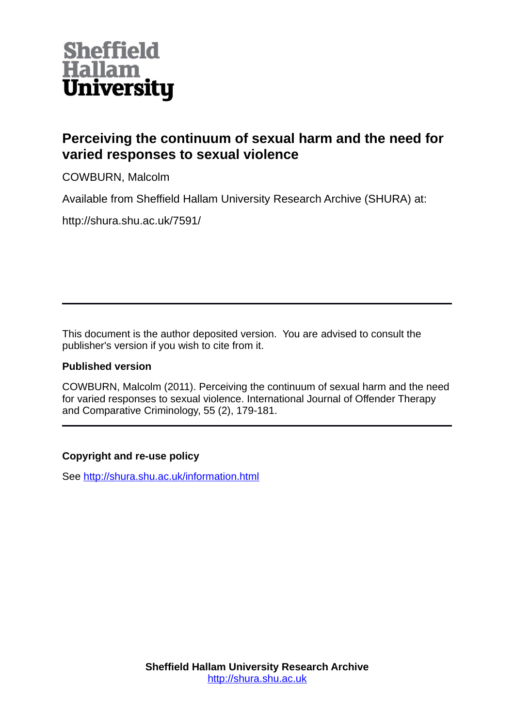

## **Perceiving the continuum of sexual harm and the need for varied responses to sexual violence**

COWBURN, Malcolm

Available from Sheffield Hallam University Research Archive (SHURA) at:

http://shura.shu.ac.uk/7591/

This document is the author deposited version. You are advised to consult the publisher's version if you wish to cite from it.

## **Published version**

COWBURN, Malcolm (2011). Perceiving the continuum of sexual harm and the need for varied responses to sexual violence. International Journal of Offender Therapy and Comparative Criminology, 55 (2), 179-181.

## **Copyright and re-use policy**

See<http://shura.shu.ac.uk/information.html>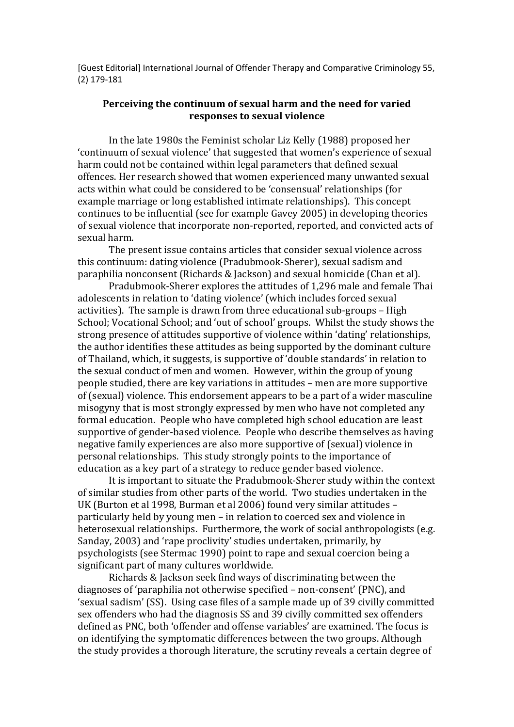[Guest Editorial] International Journal of Offender Therapy and Comparative Criminology 55, (2) 179-181

## **Perceiving the continuum of sexual harm and the need for varied responses to sexual violence**

In the late 1980s the Feminist scholar Liz Kelly (1988) proposed her 'continuum of sexual violence' that suggested that women's experience of sexual harm could not be contained within legal parameters that defined sexual offences. Her research showed that women experienced many unwanted sexual acts within what could be considered to be 'consensual' relationships (for example marriage or long established intimate relationships). This concept continues to be influential (see for example Gavey 2005) in developing theories of sexual violence that incorporate non-reported, reported, and convicted acts of sexual harm.

The present issue contains articles that consider sexual violence across this continuum: dating violence (Pradubmook-Sherer), sexual sadism and paraphilia nonconsent (Richards & Jackson) and sexual homicide (Chan et al).

Pradubmook-Sherer explores the attitudes of 1,296 male and female Thai adolescents in relation to 'dating violence' (which includes forced sexual activities). The sample is drawn from three educational sub-groups – High School; Vocational School; and 'out of school' groups. Whilst the study shows the strong presence of attitudes supportive of violence within 'dating' relationships, the author identifies these attitudes as being supported by the dominant culture of Thailand, which, it suggests, is supportive of 'double standards' in relation to the sexual conduct of men and women. However, within the group of young people studied, there are key variations in attitudes – men are more supportive of (sexual) violence. This endorsement appears to be a part of a wider masculine misogyny that is most strongly expressed by men who have not completed any formal education. People who have completed high school education are least supportive of gender-based violence. People who describe themselves as having negative family experiences are also more supportive of (sexual) violence in personal relationships. This study strongly points to the importance of education as a key part of a strategy to reduce gender based violence.

It is important to situate the Pradubmook-Sherer study within the context of similar studies from other parts of the world. Two studies undertaken in the UK (Burton et al 1998, Burman et al 2006) found very similar attitudes – particularly held by young men – in relation to coerced sex and violence in heterosexual relationships. Furthermore, the work of social anthropologists (e.g. Sanday, 2003) and 'rape proclivity' studies undertaken, primarily, by psychologists (see Stermac 1990) point to rape and sexual coercion being a significant part of many cultures worldwide.

Richards & Jackson seek find ways of discriminating between the diagnoses of 'paraphilia not otherwise specified – non-consent' (PNC), and 'sexual sadism' (SS). Using case files of a sample made up of 39 civilly committed sex offenders who had the diagnosis SS and 39 civilly committed sex offenders defined as PNC, both 'offender and offense variables' are examined. The focus is on identifying the symptomatic differences between the two groups. Although the study provides a thorough literature, the scrutiny reveals a certain degree of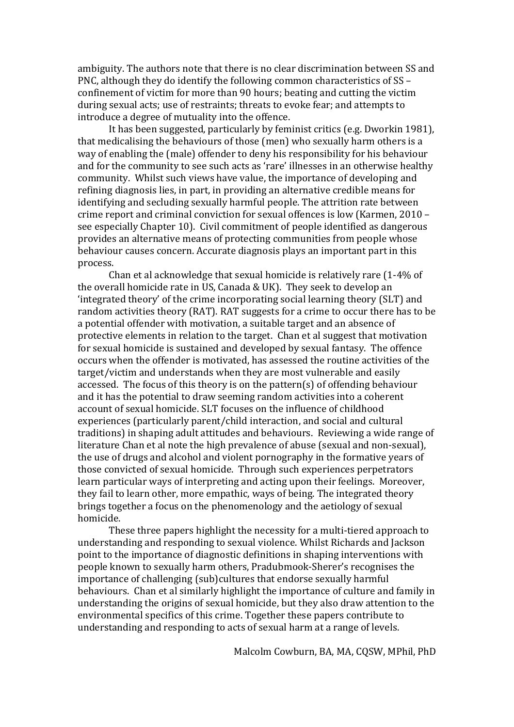ambiguity. The authors note that there is no clear discrimination between SS and PNC, although they do identify the following common characteristics of SS – confinement of victim for more than 90 hours; beating and cutting the victim during sexual acts; use of restraints; threats to evoke fear; and attempts to introduce a degree of mutuality into the offence.

It has been suggested, particularly by feminist critics (e.g. Dworkin 1981), that medicalising the behaviours of those (men) who sexually harm others is a way of enabling the (male) offender to deny his responsibility for his behaviour and for the community to see such acts as 'rare' illnesses in an otherwise healthy community. Whilst such views have value, the importance of developing and refining diagnosis lies, in part, in providing an alternative credible means for identifying and secluding sexually harmful people. The attrition rate between crime report and criminal conviction for sexual offences is low (Karmen, 2010 – see especially Chapter 10). Civil commitment of people identified as dangerous provides an alternative means of protecting communities from people whose behaviour causes concern. Accurate diagnosis plays an important part in this process.

Chan et al acknowledge that sexual homicide is relatively rare (1-4% of the overall homicide rate in US, Canada & UK). They seek to develop an 'integrated theory' of the crime incorporating social learning theory (SLT) and random activities theory (RAT). RAT suggests for a crime to occur there has to be a potential offender with motivation, a suitable target and an absence of protective elements in relation to the target. Chan et al suggest that motivation for sexual homicide is sustained and developed by sexual fantasy. The offence occurs when the offender is motivated, has assessed the routine activities of the target/victim and understands when they are most vulnerable and easily accessed. The focus of this theory is on the pattern(s) of offending behaviour and it has the potential to draw seeming random activities into a coherent account of sexual homicide. SLT focuses on the influence of childhood experiences (particularly parent/child interaction, and social and cultural traditions) in shaping adult attitudes and behaviours. Reviewing a wide range of literature Chan et al note the high prevalence of abuse (sexual and non-sexual), the use of drugs and alcohol and violent pornography in the formative years of those convicted of sexual homicide. Through such experiences perpetrators learn particular ways of interpreting and acting upon their feelings. Moreover, they fail to learn other, more empathic, ways of being. The integrated theory brings together a focus on the phenomenology and the aetiology of sexual homicide.

These three papers highlight the necessity for a multi-tiered approach to understanding and responding to sexual violence. Whilst Richards and Jackson point to the importance of diagnostic definitions in shaping interventions with people known to sexually harm others, Pradubmook-Sherer's recognises the importance of challenging (sub)cultures that endorse sexually harmful behaviours. Chan et al similarly highlight the importance of culture and family in understanding the origins of sexual homicide, but they also draw attention to the environmental specifics of this crime. Together these papers contribute to understanding and responding to acts of sexual harm at a range of levels.

Malcolm Cowburn, BA, MA, CQSW, MPhil, PhD